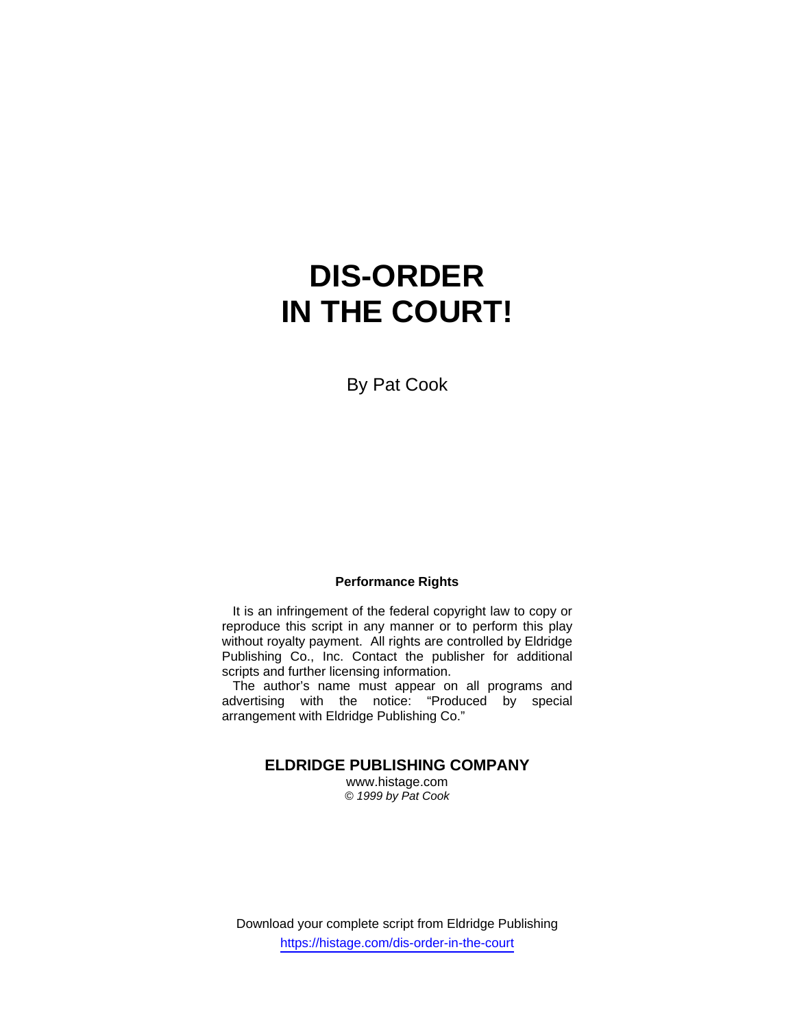# **DIS-ORDER IN THE COURT!**

By Pat Cook

## **Performance Rights**

 It is an infringement of the federal copyright law to copy or reproduce this script in any manner or to perform this play without royalty payment. All rights are controlled by Eldridge Publishing Co., Inc. Contact the publisher for additional scripts and further licensing information.

 The author's name must appear on all programs and advertising with the notice: "Produced by special arrangement with Eldridge Publishing Co."

## **ELDRIDGE PUBLISHING COMPANY**

www.histage.com *© 1999 by Pat Cook*

Download your complete script from Eldridge Publishing https://histage.com/dis-order-in-the-court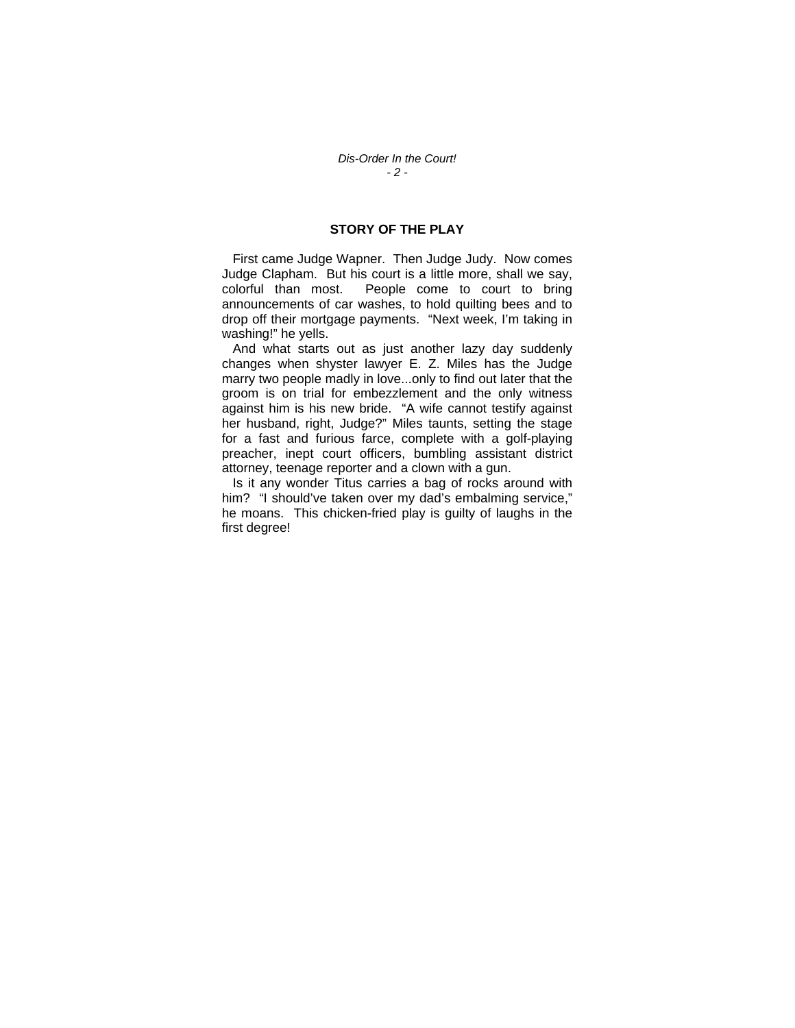## **STORY OF THE PLAY**

 First came Judge Wapner. Then Judge Judy. Now comes Judge Clapham. But his court is a little more, shall we say, colorful than most. People come to court to bring announcements of car washes, to hold quilting bees and to drop off their mortgage payments. "Next week, I'm taking in washing!" he yells.

 And what starts out as just another lazy day suddenly changes when shyster lawyer E. Z. Miles has the Judge marry two people madly in love...only to find out later that the groom is on trial for embezzlement and the only witness against him is his new bride. "A wife cannot testify against her husband, right, Judge?" Miles taunts, setting the stage for a fast and furious farce, complete with a golf-playing preacher, inept court officers, bumbling assistant district attorney, teenage reporter and a clown with a gun.

 Is it any wonder Titus carries a bag of rocks around with him? "I should've taken over my dad's embalming service," he moans. This chicken-fried play is guilty of laughs in the first degree!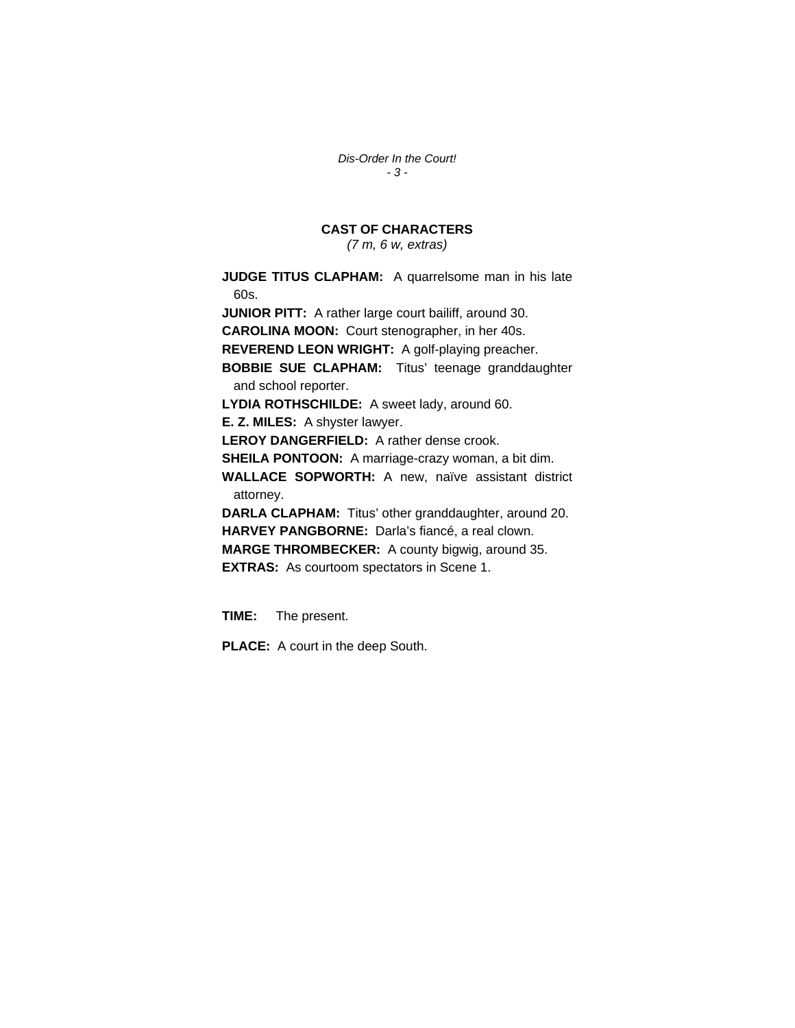*Dis-Order In the Court! - 3 -* 

# **CAST OF CHARACTERS**

*(7 m, 6 w, extras)* 

**JUDGE TITUS CLAPHAM:** A quarrelsome man in his late 60s. **JUNIOR PITT:** A rather large court bailiff, around 30. **CAROLINA MOON:** Court stenographer, in her 40s. **REVEREND LEON WRIGHT:** A golf-playing preacher. **BOBBIE SUE CLAPHAM:** Titus' teenage granddaughter and school reporter. **LYDIA ROTHSCHILDE:** A sweet lady, around 60. **E. Z. MILES:** A shyster lawyer. **LEROY DANGERFIELD:** A rather dense crook. **SHEILA PONTOON:** A marriage-crazy woman, a bit dim. **WALLACE SOPWORTH:** A new, naïve assistant district attorney. **DARLA CLAPHAM:** Titus' other granddaughter, around 20. **HARVEY PANGBORNE:** Darla's fiancé, a real clown.

**MARGE THROMBECKER:** A county bigwig, around 35. **EXTRAS:** As courtoom spectators in Scene 1.

**TIME:** The present.

**PLACE:** A court in the deep South.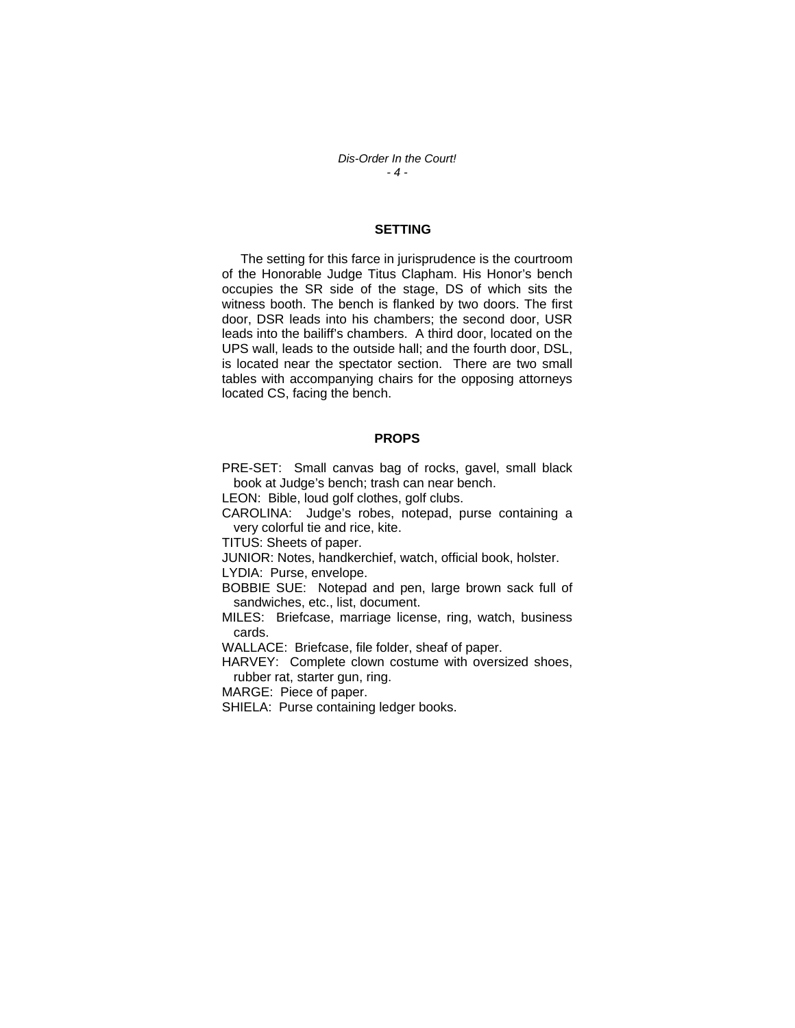*Dis-Order In the Court! - 4 -* 

### **SETTING**

 The setting for this farce in jurisprudence is the courtroom of the Honorable Judge Titus Clapham. His Honor's bench occupies the SR side of the stage, DS of which sits the witness booth. The bench is flanked by two doors. The first door, DSR leads into his chambers; the second door, USR leads into the bailiff's chambers. A third door, located on the UPS wall, leads to the outside hall; and the fourth door, DSL, is located near the spectator section. There are two small tables with accompanying chairs for the opposing attorneys located CS, facing the bench.

#### **PROPS**

PRE-SET: Small canvas bag of rocks, gavel, small black book at Judge's bench; trash can near bench.

LEON: Bible, loud golf clothes, golf clubs.

CAROLINA: Judge's robes, notepad, purse containing a very colorful tie and rice, kite.

TITUS: Sheets of paper.

JUNIOR: Notes, handkerchief, watch, official book, holster. LYDIA: Purse, envelope.

BOBBIE SUE: Notepad and pen, large brown sack full of sandwiches, etc., list, document.

MILES: Briefcase, marriage license, ring, watch, business cards.

WALLACE: Briefcase, file folder, sheaf of paper.

HARVEY: Complete clown costume with oversized shoes, rubber rat, starter gun, ring.

MARGE: Piece of paper.

SHIELA: Purse containing ledger books.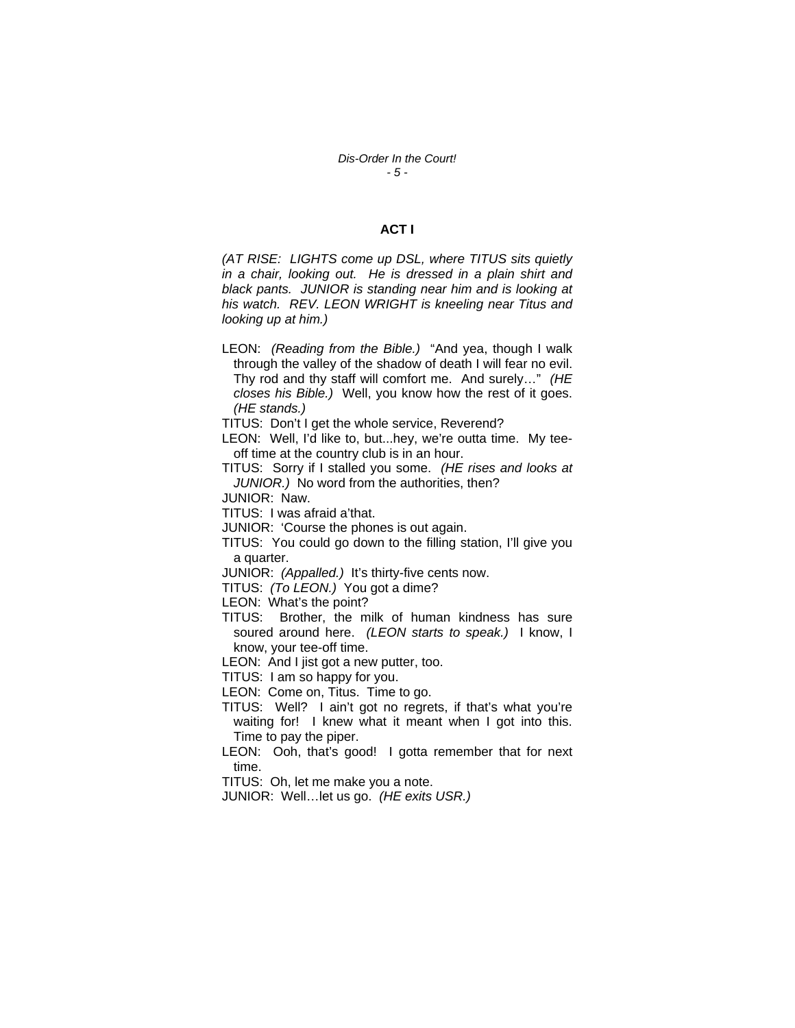### **ACT I**

*(AT RISE: LIGHTS come up DSL, where TITUS sits quietly in a chair, looking out. He is dressed in a plain shirt and black pants. JUNIOR is standing near him and is looking at his watch. REV. LEON WRIGHT is kneeling near Titus and looking up at him.)* 

LEON: *(Reading from the Bible.)* "And yea, though I walk through the valley of the shadow of death I will fear no evil. Thy rod and thy staff will comfort me. And surely…" *(HE closes his Bible.)* Well, you know how the rest of it goes. *(HE stands.)* 

TITUS: Don't I get the whole service, Reverend?

LEON: Well, I'd like to, but...hey, we're outta time. My teeoff time at the country club is in an hour.

TITUS: Sorry if I stalled you some. *(HE rises and looks at JUNIOR.)* No word from the authorities, then?

JUNIOR: Naw.

TITUS: I was afraid a'that.

JUNIOR: 'Course the phones is out again.

TITUS: You could go down to the filling station, I'll give you a quarter.

JUNIOR: *(Appalled.)* It's thirty-five cents now.

TITUS: *(To LEON.)* You got a dime?

LEON: What's the point?

TITUS: Brother, the milk of human kindness has sure soured around here. *(LEON starts to speak.)* I know, I know, your tee-off time.

LEON: And I jist got a new putter, too.

TITUS: I am so happy for you.

LEON: Come on, Titus. Time to go.

TITUS: Well? I ain't got no regrets, if that's what you're waiting for! I knew what it meant when I got into this. Time to pay the piper.

LEON: Ooh, that's good! I gotta remember that for next time.

TITUS: Oh, let me make you a note.

JUNIOR: Well…let us go. *(HE exits USR.)*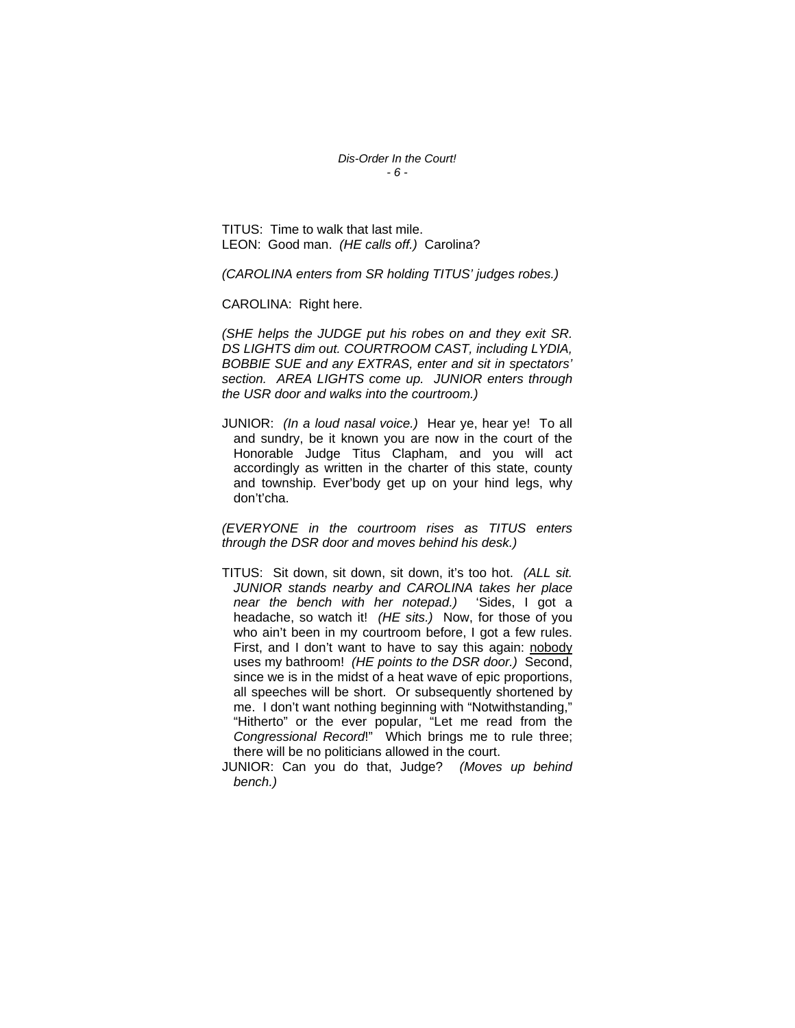*Dis-Order In the Court! - 6 -* 

TITUS: Time to walk that last mile. LEON: Good man. *(HE calls off.)* Carolina?

*(CAROLINA enters from SR holding TITUS' judges robes.)* 

CAROLINA: Right here.

*(SHE helps the JUDGE put his robes on and they exit SR. DS LIGHTS dim out. COURTROOM CAST, including LYDIA, BOBBIE SUE and any EXTRAS, enter and sit in spectators' section. AREA LIGHTS come up. JUNIOR enters through the USR door and walks into the courtroom.)* 

JUNIOR: *(In a loud nasal voice.)* Hear ye, hear ye! To all and sundry, be it known you are now in the court of the Honorable Judge Titus Clapham, and you will act accordingly as written in the charter of this state, county and township. Ever'body get up on your hind legs, why don't'cha.

*(EVERYONE in the courtroom rises as TITUS enters through the DSR door and moves behind his desk.)* 

- TITUS: Sit down, sit down, sit down, it's too hot. *(ALL sit. JUNIOR stands nearby and CAROLINA takes her place near the bench with her notepad.)* 'Sides, I got a headache, so watch it! *(HE sits.)* Now, for those of you who ain't been in my courtroom before, I got a few rules. First, and I don't want to have to say this again: nobody uses my bathroom! *(HE points to the DSR door.)* Second, since we is in the midst of a heat wave of epic proportions, all speeches will be short. Or subsequently shortened by me. I don't want nothing beginning with "Notwithstanding," "Hitherto" or the ever popular, "Let me read from the *Congressional Record*!" Which brings me to rule three; there will be no politicians allowed in the court.
- JUNIOR: Can you do that, Judge? *(Moves up behind bench.)*